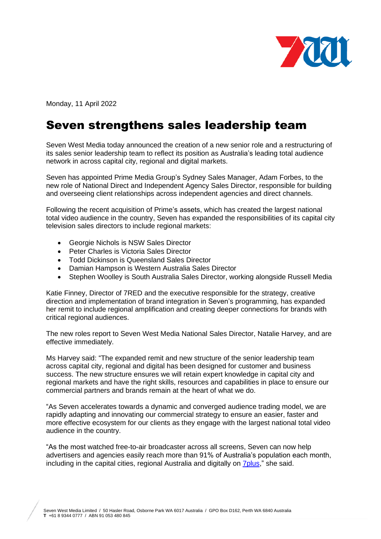

Monday, 11 April 2022

## Seven strengthens sales leadership team

Seven West Media today announced the creation of a new senior role and a restructuring of its sales senior leadership team to reflect its position as Australia's leading total audience network in across capital city, regional and digital markets.

Seven has appointed Prime Media Group's Sydney Sales Manager, Adam Forbes, to the new role of National Direct and Independent Agency Sales Director, responsible for building and overseeing client relationships across independent agencies and direct channels.

Following the recent acquisition of Prime's assets, which has created the largest national total video audience in the country, Seven has expanded the responsibilities of its capital city television sales directors to include regional markets:

- Georgie Nichols is NSW Sales Director
- Peter Charles is Victoria Sales Director
- Todd Dickinson is Queensland Sales Director
- Damian Hampson is Western Australia Sales Director
- Stephen Woolley is South Australia Sales Director, working alongside Russell Media

Katie Finney, Director of 7RED and the executive responsible for the strategy, creative direction and implementation of brand integration in Seven's programming, has expanded her remit to include regional amplification and creating deeper connections for brands with critical regional audiences.

The new roles report to Seven West Media National Sales Director, Natalie Harvey, and are effective immediately.

Ms Harvey said: "The expanded remit and new structure of the senior leadership team across capital city, regional and digital has been designed for customer and business success. The new structure ensures we will retain expert knowledge in capital city and regional markets and have the right skills, resources and capabilities in place to ensure our commercial partners and brands remain at the heart of what we do.

"As Seven accelerates towards a dynamic and converged audience trading model, we are rapidly adapting and innovating our commercial strategy to ensure an easier, faster and more effective ecosystem for our clients as they engage with the largest national total video audience in the country.

"As the most watched free-to-air broadcaster across all screens, Seven can now help advertisers and agencies easily reach more than 91% of Australia's population each month, including in the capital cities, regional Australia and digitally on [7plus,](https://7plus.com.au/)" she said.